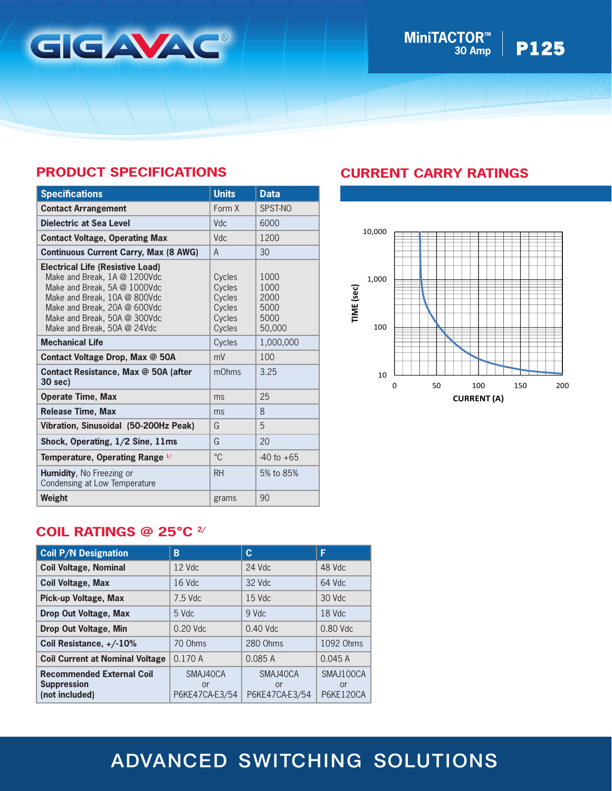

### **MiniTACTOR<sup>TM</sup> | <b>P125 30 Amp**

## **PRODUCT SPECIFICATIONS**

| <b>Specifications</b>                                                                                                                                                                                                                  | <b>Units</b>                                             | <b>Data</b>                                    |
|----------------------------------------------------------------------------------------------------------------------------------------------------------------------------------------------------------------------------------------|----------------------------------------------------------|------------------------------------------------|
| <b>Contact Arrangement</b>                                                                                                                                                                                                             | Form X                                                   | SPST-NO                                        |
| Dielectric at Sea Level                                                                                                                                                                                                                | <b>Vdc</b>                                               | 6000                                           |
| <b>Contact Voltage, Operating Max</b>                                                                                                                                                                                                  | Vdc                                                      | 1200                                           |
| <b>Continuous Current Carry, Max (8 AWG)</b>                                                                                                                                                                                           | $\mathsf{A}$                                             | 30                                             |
| <b>Electrical Life (Resistive Load)</b><br>Make and Break, 1A @ 1200Vdc<br>Make and Break, 5A @ 1000Vdc<br>Make and Break, 10A @ 800Vdc<br>Make and Break, 20A @ 600Vdc<br>Make and Break, 50A @ 300Vdc<br>Make and Break, 50A @ 24Vdc | Cycles<br>Cycles<br>Cycles<br>Cycles<br>Cycles<br>Cycles | 1000<br>1000<br>2000<br>5000<br>5000<br>50,000 |
| <b>Mechanical Life</b>                                                                                                                                                                                                                 | Cycles                                                   | 1,000,000                                      |
| Contact Voltage Drop, Max @ 50A                                                                                                                                                                                                        | mV                                                       | 100                                            |
| Contact Resistance, Max @ 50A (after<br>30 sec)                                                                                                                                                                                        | mOhms                                                    | 3.25                                           |
| <b>Operate Time, Max</b>                                                                                                                                                                                                               | ms                                                       | 25                                             |
| <b>Release Time, Max</b>                                                                                                                                                                                                               | ms                                                       | 8                                              |
| Vibration, Sinusoidal (50-200Hz Peak)                                                                                                                                                                                                  | G                                                        | 5                                              |
| Shock, Operating, 1/2 Sine, 11ms                                                                                                                                                                                                       | G                                                        | 20                                             |
| Temperature, Operating Range 1/                                                                                                                                                                                                        | $^{\circ}C$                                              | $-40$ to $+65$                                 |
| Humidity, No Freezing or<br>Condensing at Low Temperature                                                                                                                                                                              | <b>RH</b>                                                | 5% to 85%                                      |
| Weight                                                                                                                                                                                                                                 | grams                                                    | 90                                             |

### **CURRENT CARRY RATINGS**



### **COIL RATINGS @ 25°C 2/**

| <b>Coil P/N Designation</b>                                              | B                                | C                                | F                                   |
|--------------------------------------------------------------------------|----------------------------------|----------------------------------|-------------------------------------|
| <b>Coil Voltage, Nominal</b>                                             | $12$ Vdc                         | $24$ Vdc                         | 48 Vdc                              |
| <b>Coil Voltage, Max</b>                                                 | 16 Vdc                           | 32 Vdc                           | $64$ Vdc                            |
| Pick-up Voltage, Max                                                     | $7.5$ Vdc                        | $15$ Vdc                         | $30$ Vdc                            |
| Drop Out Voltage, Max                                                    | 5 Vdc                            | 9 Vdc                            | 18 Vdc                              |
| Drop Out Voltage, Min                                                    | $0.20$ Vdc                       | $0.40$ Vdc                       | $0.80$ Vdc                          |
| Coil Resistance, +/-10%                                                  | 70 Ohms                          | 280 Ohms                         | 1092 Ohms                           |
| <b>Coil Current at Nominal Voltage</b>                                   | 0.170A                           | 0.085A                           | 0.045A                              |
| <b>Recommended External Coil</b><br><b>Suppression</b><br>(not included) | SMAJ40CA<br>or<br>P6KE47CA-E3/54 | SMAJ40CA<br>or<br>P6KE47CA-E3/54 | SMAJ100CA<br>or<br><b>P6KE120CA</b> |

# ADVANCED SWITCHING SOLUTIONS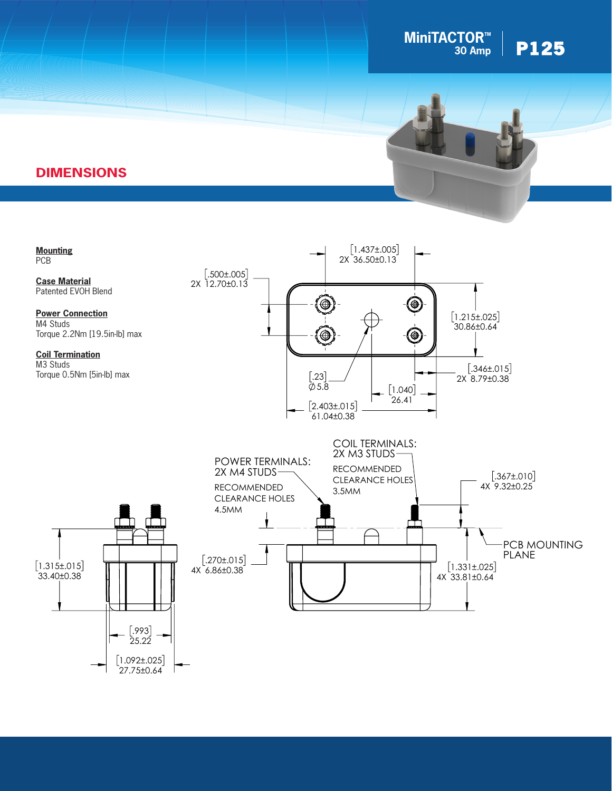

### **DIMENSIONS**



PIK-AS Austria GmbH | Elektrotechnische Fabrikate | AT-7433 Mariasdorf Tel.: +43 [3353](mailto:info%40gigavac.com?subject=) 7613 | Fax: +43 [3353](http://www.gigavac.com) 7612 | office@pikas.at | www.pikas.at